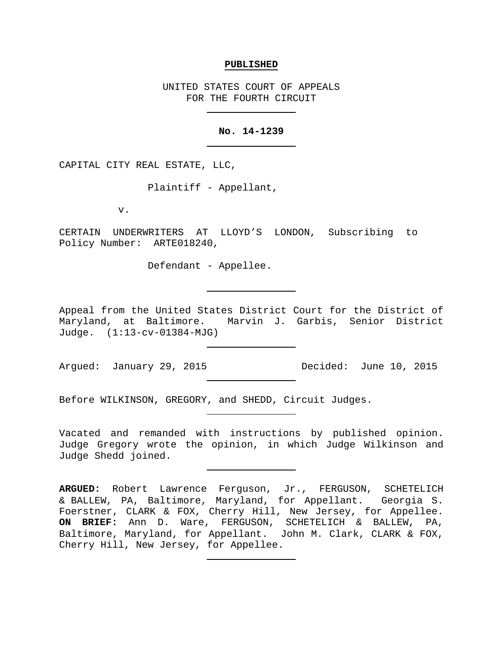#### **PUBLISHED**

UNITED STATES COURT OF APPEALS FOR THE FOURTH CIRCUIT

# **No. 14-1239**

CAPITAL CITY REAL ESTATE, LLC,

Plaintiff - Appellant,

v.

CERTAIN UNDERWRITERS AT LLOYD'S LONDON, Subscribing to Policy Number: ARTE018240,

Defendant - Appellee.

Appeal from the United States District Court for the District of<br>Maryland, at Baltimore. Marvin J. Garbis, Senior District Marvin J. Garbis, Senior District Judge. (1:13-cv-01384-MJG)

Argued: January 29, 2015 Decided: June 10, 2015

Before WILKINSON, GREGORY, and SHEDD, Circuit Judges.

Vacated and remanded with instructions by published opinion. Judge Gregory wrote the opinion, in which Judge Wilkinson and Judge Shedd joined.

**ARGUED:** Robert Lawrence Ferguson, Jr., FERGUSON, SCHETELICH & BALLEW, PA, Baltimore, Maryland, for Appellant. Georgia S. Foerstner, CLARK & FOX, Cherry Hill, New Jersey, for Appellee. **ON BRIEF:** Ann D. Ware, FERGUSON, SCHETELICH & BALLEW, PA, Baltimore, Maryland, for Appellant. John M. Clark, CLARK & FOX, Cherry Hill, New Jersey, for Appellee.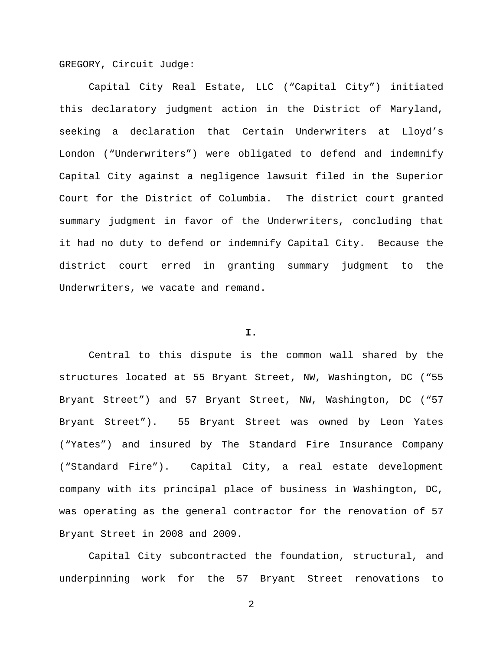GREGORY, Circuit Judge:

Capital City Real Estate, LLC ("Capital City") initiated this declaratory judgment action in the District of Maryland, seeking a declaration that Certain Underwriters at Lloyd's London ("Underwriters") were obligated to defend and indemnify Capital City against a negligence lawsuit filed in the Superior Court for the District of Columbia. The district court granted summary judgment in favor of the Underwriters, concluding that it had no duty to defend or indemnify Capital City. Because the district court erred in granting summary judgment to the Underwriters, we vacate and remand.

# **I.**

Central to this dispute is the common wall shared by the structures located at 55 Bryant Street, NW, Washington, DC ("55 Bryant Street") and 57 Bryant Street, NW, Washington, DC ("57 Bryant Street"). 55 Bryant Street was owned by Leon Yates ("Yates") and insured by The Standard Fire Insurance Company ("Standard Fire"). Capital City, a real estate development company with its principal place of business in Washington, DC, was operating as the general contractor for the renovation of 57 Bryant Street in 2008 and 2009.

Capital City subcontracted the foundation, structural, and underpinning work for the 57 Bryant Street renovations to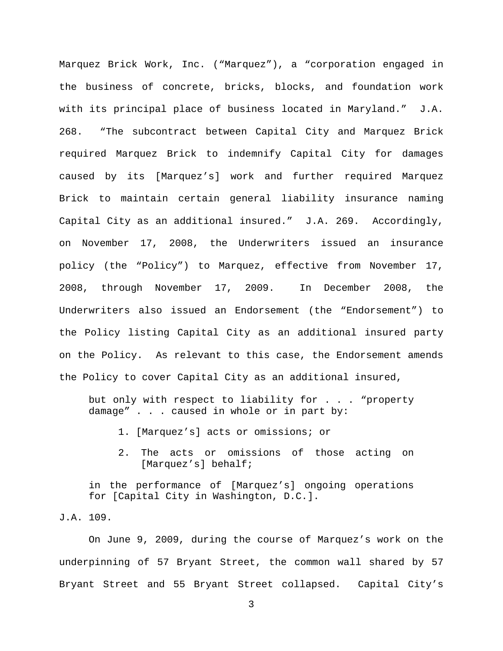Marquez Brick Work, Inc. ("Marquez"), a "corporation engaged in the business of concrete, bricks, blocks, and foundation work with its principal place of business located in Maryland." J.A. 268. "The subcontract between Capital City and Marquez Brick required Marquez Brick to indemnify Capital City for damages caused by its [Marquez's] work and further required Marquez Brick to maintain certain general liability insurance naming Capital City as an additional insured." J.A. 269. Accordingly, on November 17, 2008, the Underwriters issued an insurance policy (the "Policy") to Marquez, effective from November 17, 2008, through November 17, 2009. In December 2008, the Underwriters also issued an Endorsement (the "Endorsement") to the Policy listing Capital City as an additional insured party on the Policy. As relevant to this case, the Endorsement amends the Policy to cover Capital City as an additional insured,

but only with respect to liability for . . . "property damage" . . . caused in whole or in part by:

- 1. [Marquez's] acts or omissions; or
- 2. The acts or omissions of those acting on [Marquez's] behalf;

in the performance of [Marquez's] ongoing operations for [Capital City in Washington, D.C.].

J.A. 109.

On June 9, 2009, during the course of Marquez's work on the underpinning of 57 Bryant Street, the common wall shared by 57 Bryant Street and 55 Bryant Street collapsed. Capital City's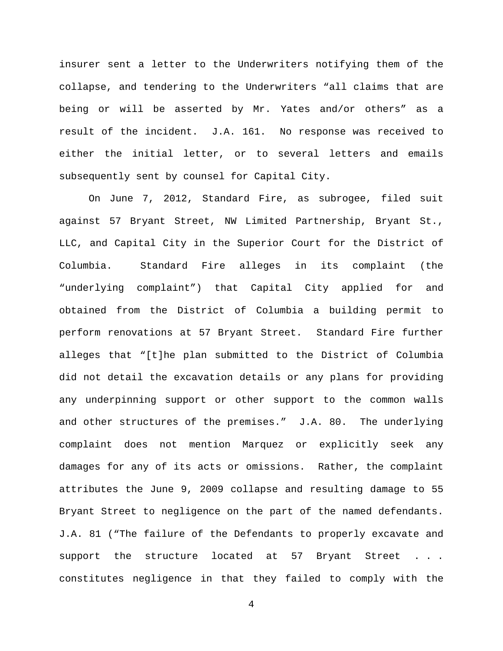insurer sent a letter to the Underwriters notifying them of the collapse, and tendering to the Underwriters "all claims that are being or will be asserted by Mr. Yates and/or others" as a result of the incident. J.A. 161. No response was received to either the initial letter, or to several letters and emails subsequently sent by counsel for Capital City.

On June 7, 2012, Standard Fire, as subrogee, filed suit against 57 Bryant Street, NW Limited Partnership, Bryant St., LLC, and Capital City in the Superior Court for the District of Columbia. Standard Fire alleges in its complaint (the "underlying complaint") that Capital City applied for and obtained from the District of Columbia a building permit to perform renovations at 57 Bryant Street. Standard Fire further alleges that "[t]he plan submitted to the District of Columbia did not detail the excavation details or any plans for providing any underpinning support or other support to the common walls and other structures of the premises." J.A. 80. The underlying complaint does not mention Marquez or explicitly seek any damages for any of its acts or omissions. Rather, the complaint attributes the June 9, 2009 collapse and resulting damage to 55 Bryant Street to negligence on the part of the named defendants. J.A. 81 ("The failure of the Defendants to properly excavate and support the structure located at 57 Bryant Street . . . constitutes negligence in that they failed to comply with the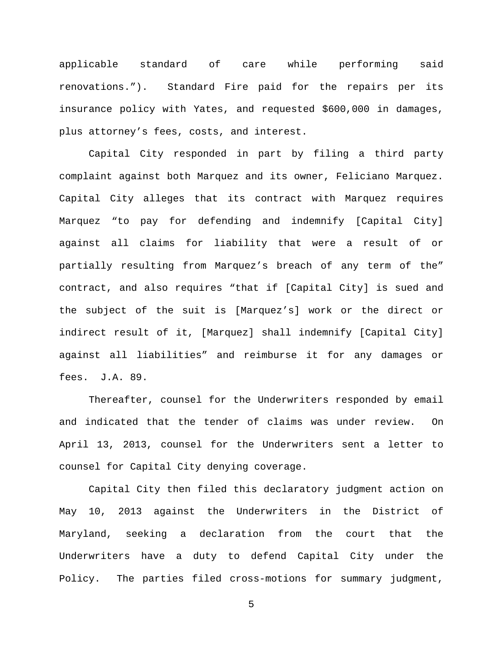applicable standard of care while performing said renovations."). Standard Fire paid for the repairs per its insurance policy with Yates, and requested \$600,000 in damages, plus attorney's fees, costs, and interest.

Capital City responded in part by filing a third party complaint against both Marquez and its owner, Feliciano Marquez. Capital City alleges that its contract with Marquez requires Marquez "to pay for defending and indemnify [Capital City] against all claims for liability that were a result of or partially resulting from Marquez's breach of any term of the" contract, and also requires "that if [Capital City] is sued and the subject of the suit is [Marquez's] work or the direct or indirect result of it, [Marquez] shall indemnify [Capital City] against all liabilities" and reimburse it for any damages or fees. J.A. 89.

Thereafter, counsel for the Underwriters responded by email and indicated that the tender of claims was under review. On April 13, 2013, counsel for the Underwriters sent a letter to counsel for Capital City denying coverage.

Capital City then filed this declaratory judgment action on May 10, 2013 against the Underwriters in the District of Maryland, seeking a declaration from the court that the Underwriters have a duty to defend Capital City under the Policy. The parties filed cross-motions for summary judgment,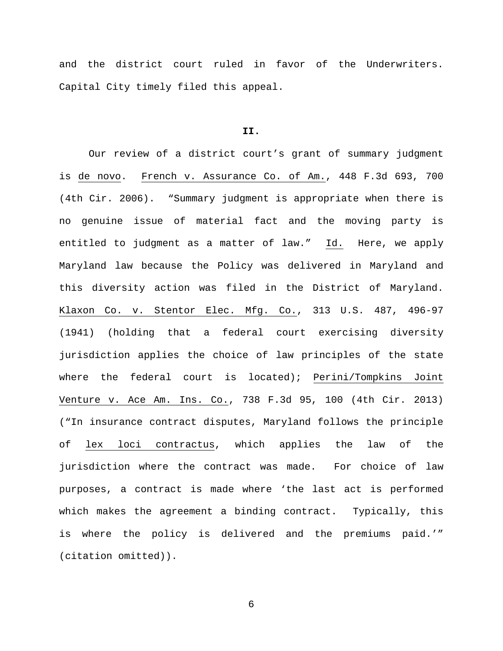and the district court ruled in favor of the Underwriters. Capital City timely filed this appeal.

## **II.**

Our review of a district court's grant of summary judgment is de novo. French v. Assurance Co. of Am., 448 F.3d 693, 700 (4th Cir. 2006). "Summary judgment is appropriate when there is no genuine issue of material fact and the moving party is entitled to judgment as a matter of law." Id. Here, we apply Maryland law because the Policy was delivered in Maryland and this diversity action was filed in the District of Maryland. Klaxon Co. v. Stentor Elec. Mfg. Co., 313 U.S. 487, 496-97 (1941) (holding that a federal court exercising diversity jurisdiction applies the choice of law principles of the state where the federal court is located); Perini/Tompkins Joint Venture v. Ace Am. Ins. Co., 738 F.3d 95, 100 (4th Cir. 2013) ("In insurance contract disputes, Maryland follows the principle of lex loci contractus, which applies the law of the jurisdiction where the contract was made. For choice of law purposes, a contract is made where 'the last act is performed which makes the agreement a binding contract. Typically, this is where the policy is delivered and the premiums paid.'" (citation omitted)).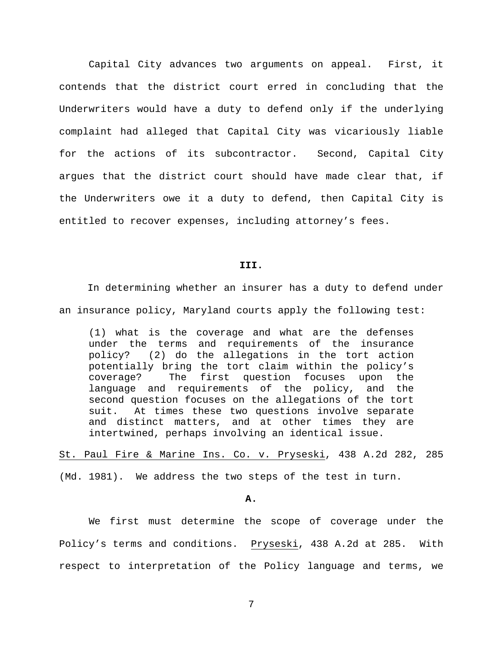Capital City advances two arguments on appeal. First, it contends that the district court erred in concluding that the Underwriters would have a duty to defend only if the underlying complaint had alleged that Capital City was vicariously liable for the actions of its subcontractor. Second, Capital City argues that the district court should have made clear that, if the Underwriters owe it a duty to defend, then Capital City is entitled to recover expenses, including attorney's fees.

#### **III.**

In determining whether an insurer has a duty to defend under an insurance policy, Maryland courts apply the following test:

(1) what is the coverage and what are the defenses under the terms and requirements of the insurance policy? (2) do the allegations in the tort action potentially bring the tort claim within the policy's coverage? The first question focuses upon the language and requirements of the policy, and the second question focuses on the allegations of the tort suit. At times these two questions involve separate and distinct matters, and at other times they are intertwined, perhaps involving an identical issue.

St. Paul Fire & Marine Ins. Co. v. Pryseski, 438 A.2d 282, 285 (Md. 1981). We address the two steps of the test in turn.

**A.**

We first must determine the scope of coverage under the Policy's terms and conditions. Pryseski, 438 A.2d at 285. With respect to interpretation of the Policy language and terms, we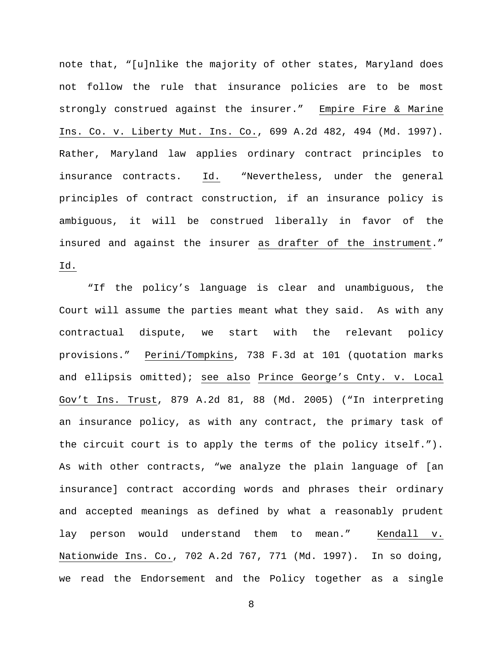note that, "[u]nlike the majority of other states, Maryland does not follow the rule that insurance policies are to be most strongly construed against the insurer." Empire Fire & Marine Ins. Co. v. Liberty Mut. Ins. Co., 699 A.2d 482, 494 (Md. 1997). Rather, Maryland law applies ordinary contract principles to insurance contracts. Id. "Nevertheless, under the general principles of contract construction, if an insurance policy is ambiguous, it will be construed liberally in favor of the insured and against the insurer as drafter of the instrument." Id.

"If the policy's language is clear and unambiguous, the Court will assume the parties meant what they said. As with any contractual dispute, we start with the relevant policy provisions." Perini/Tompkins, 738 F.3d at 101 (quotation marks and ellipsis omitted); see also Prince George's Cnty. v. Local Gov't Ins. Trust, 879 A.2d 81, 88 (Md. 2005) ("In interpreting an insurance policy, as with any contract, the primary task of the circuit court is to apply the terms of the policy itself."). As with other contracts, "we analyze the plain language of [an insurance] contract according words and phrases their ordinary and accepted meanings as defined by what a reasonably prudent lay person would understand them to mean." Kendall v. Nationwide Ins. Co., 702 A.2d 767, 771 (Md. 1997). In so doing, we read the Endorsement and the Policy together as a single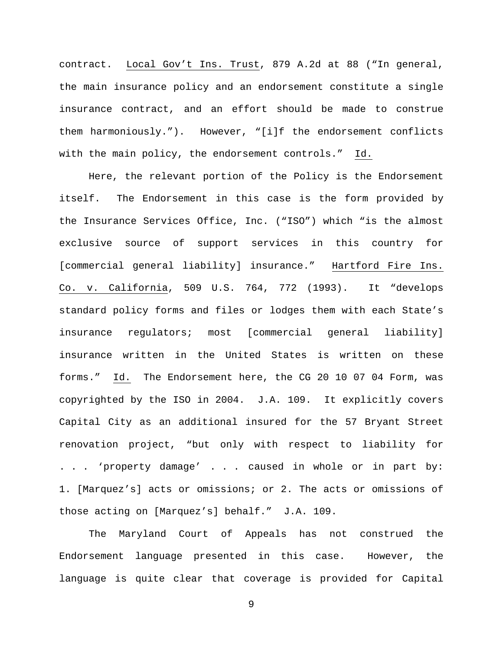contract. Local Gov't Ins. Trust, 879 A.2d at 88 ("In general, the main insurance policy and an endorsement constitute a single insurance contract, and an effort should be made to construe them harmoniously."). However, "[i]f the endorsement conflicts with the main policy, the endorsement controls." Id.

Here, the relevant portion of the Policy is the Endorsement itself. The Endorsement in this case is the form provided by the Insurance Services Office, Inc. ("ISO") which "is the almost exclusive source of support services in this country for [commercial general liability] insurance." Hartford Fire Ins. Co. v. California, 509 U.S. 764, 772 (1993). It "develops standard policy forms and files or lodges them with each State's insurance regulators; most [commercial general liability] insurance written in the United States is written on these forms." Id. The Endorsement here, the CG 20 10 07 04 Form, was copyrighted by the ISO in 2004. J.A. 109. It explicitly covers Capital City as an additional insured for the 57 Bryant Street renovation project, "but only with respect to liability for . . . 'property damage' . . . caused in whole or in part by: 1. [Marquez's] acts or omissions; or 2. The acts or omissions of those acting on [Marquez's] behalf." J.A. 109.

The Maryland Court of Appeals has not construed the Endorsement language presented in this case. However, the language is quite clear that coverage is provided for Capital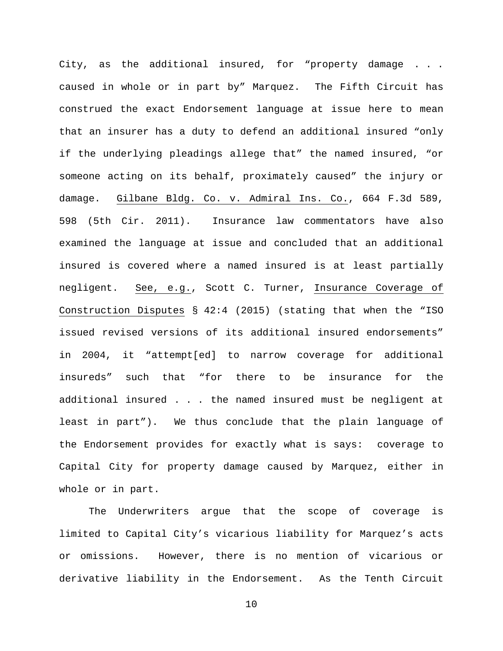City, as the additional insured, for "property damage . . . caused in whole or in part by" Marquez. The Fifth Circuit has construed the exact Endorsement language at issue here to mean that an insurer has a duty to defend an additional insured "only if the underlying pleadings allege that" the named insured, "or someone acting on its behalf, proximately caused" the injury or damage. Gilbane Bldg. Co. v. Admiral Ins. Co., 664 F.3d 589, 598 (5th Cir. 2011). Insurance law commentators have also examined the language at issue and concluded that an additional insured is covered where a named insured is at least partially negligent. See, e.g., Scott C. Turner, Insurance Coverage of Construction Disputes § 42:4 (2015) (stating that when the "ISO issued revised versions of its additional insured endorsements" in 2004, it "attempt[ed] to narrow coverage for additional insureds" such that "for there to be insurance for the additional insured . . . the named insured must be negligent at least in part"). We thus conclude that the plain language of the Endorsement provides for exactly what is says: coverage to Capital City for property damage caused by Marquez, either in whole or in part.

The Underwriters argue that the scope of coverage is limited to Capital City's vicarious liability for Marquez's acts or omissions. However, there is no mention of vicarious or derivative liability in the Endorsement. As the Tenth Circuit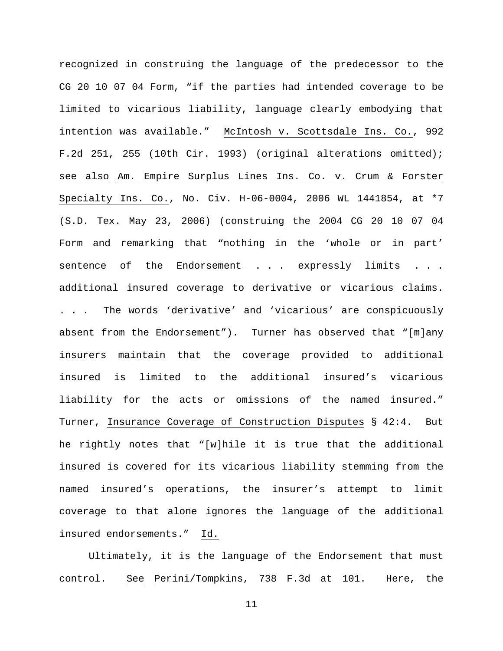recognized in construing the language of the predecessor to the CG 20 10 07 04 Form, "if the parties had intended coverage to be limited to vicarious liability, language clearly embodying that intention was available." McIntosh v. Scottsdale Ins. Co., 992 F.2d 251, 255 (10th Cir. 1993) (original alterations omitted); see also Am. Empire Surplus Lines Ins. Co. v. Crum & Forster Specialty Ins. Co., No. Civ. H-06-0004, 2006 WL 1441854, at \*7 (S.D. Tex. May 23, 2006) (construing the 2004 CG 20 10 07 04 Form and remarking that "nothing in the 'whole or in part' sentence of the Endorsement . . . expressly limits . . . additional insured coverage to derivative or vicarious claims. . . . The words 'derivative' and 'vicarious' are conspicuously absent from the Endorsement"). Turner has observed that "[m]any insurers maintain that the coverage provided to additional insured is limited to the additional insured's vicarious liability for the acts or omissions of the named insured." Turner, Insurance Coverage of Construction Disputes § 42:4. But he rightly notes that "[w]hile it is true that the additional insured is covered for its vicarious liability stemming from the named insured's operations, the insurer's attempt to limit coverage to that alone ignores the language of the additional insured endorsements." Id.

Ultimately, it is the language of the Endorsement that must control. See Perini/Tompkins, 738 F.3d at 101. Here, the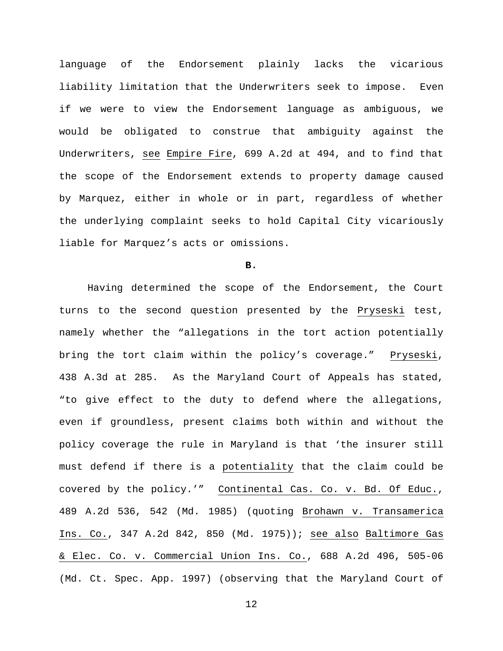language of the Endorsement plainly lacks the vicarious liability limitation that the Underwriters seek to impose. Even if we were to view the Endorsement language as ambiguous, we would be obligated to construe that ambiguity against the Underwriters, see Empire Fire, 699 A.2d at 494, and to find that the scope of the Endorsement extends to property damage caused by Marquez, either in whole or in part, regardless of whether the underlying complaint seeks to hold Capital City vicariously liable for Marquez's acts or omissions.

**B.**

Having determined the scope of the Endorsement, the Court turns to the second question presented by the Pryseski test, namely whether the "allegations in the tort action potentially bring the tort claim within the policy's coverage." Pryseski, 438 A.3d at 285. As the Maryland Court of Appeals has stated, "to give effect to the duty to defend where the allegations, even if groundless, present claims both within and without the policy coverage the rule in Maryland is that 'the insurer still must defend if there is a potentiality that the claim could be covered by the policy.'" Continental Cas. Co. v. Bd. Of Educ., 489 A.2d 536, 542 (Md. 1985) (quoting Brohawn v. Transamerica Ins. Co., 347 A.2d 842, 850 (Md. 1975)); see also Baltimore Gas & Elec. Co. v. Commercial Union Ins. Co., 688 A.2d 496, 505-06 (Md. Ct. Spec. App. 1997) (observing that the Maryland Court of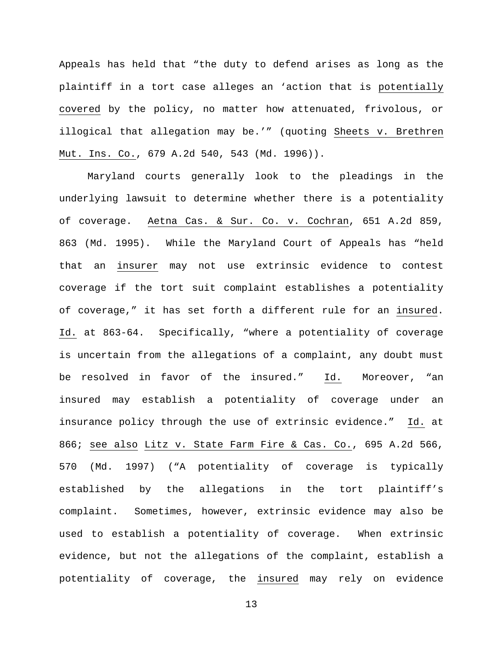Appeals has held that "the duty to defend arises as long as the plaintiff in a tort case alleges an 'action that is potentially covered by the policy, no matter how attenuated, frivolous, or illogical that allegation may be.'" (quoting Sheets v. Brethren Mut. Ins. Co., 679 A.2d 540, 543 (Md. 1996)).

Maryland courts generally look to the pleadings in the underlying lawsuit to determine whether there is a potentiality of coverage. Aetna Cas. & Sur. Co. v. Cochran, 651 A.2d 859, 863 (Md. 1995). While the Maryland Court of Appeals has "held that an insurer may not use extrinsic evidence to contest coverage if the tort suit complaint establishes a potentiality of coverage," it has set forth a different rule for an insured. Id. at 863-64. Specifically, "where a potentiality of coverage is uncertain from the allegations of a complaint, any doubt must be resolved in favor of the insured." Id. Moreover, "an insured may establish a potentiality of coverage under an insurance policy through the use of extrinsic evidence." Id. at 866; see also Litz v. State Farm Fire & Cas. Co., 695 A.2d 566, 570 (Md. 1997) ("A potentiality of coverage is typically established by the allegations in the tort plaintiff's complaint. Sometimes, however, extrinsic evidence may also be used to establish a potentiality of coverage. When extrinsic evidence, but not the allegations of the complaint, establish a potentiality of coverage, the insured may rely on evidence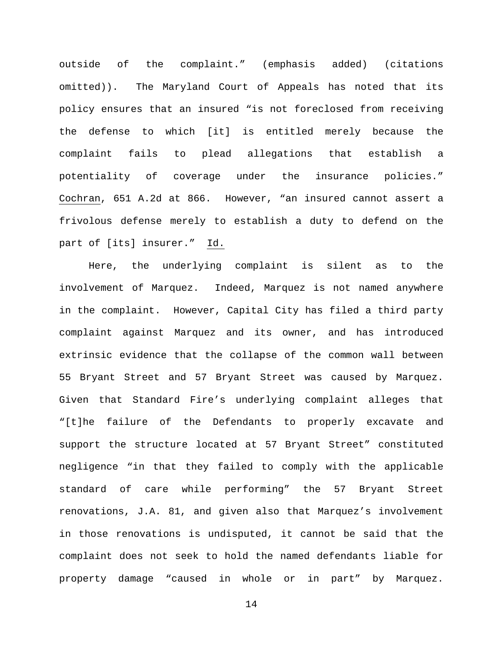outside of the complaint." (emphasis added) (citations omitted)). The Maryland Court of Appeals has noted that its policy ensures that an insured "is not foreclosed from receiving the defense to which [it] is entitled merely because the complaint fails to plead allegations that establish a potentiality of coverage under the insurance policies." Cochran, 651 A.2d at 866. However, "an insured cannot assert a frivolous defense merely to establish a duty to defend on the part of [its] insurer." Id.

Here, the underlying complaint is silent as to the involvement of Marquez. Indeed, Marquez is not named anywhere in the complaint. However, Capital City has filed a third party complaint against Marquez and its owner, and has introduced extrinsic evidence that the collapse of the common wall between 55 Bryant Street and 57 Bryant Street was caused by Marquez. Given that Standard Fire's underlying complaint alleges that "[t]he failure of the Defendants to properly excavate and support the structure located at 57 Bryant Street" constituted negligence "in that they failed to comply with the applicable standard of care while performing" the 57 Bryant Street renovations, J.A. 81, and given also that Marquez's involvement in those renovations is undisputed, it cannot be said that the complaint does not seek to hold the named defendants liable for property damage "caused in whole or in part" by Marquez.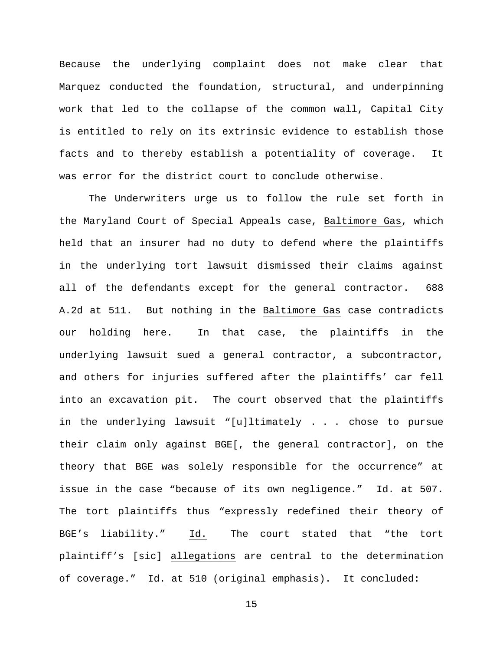Because the underlying complaint does not make clear that Marquez conducted the foundation, structural, and underpinning work that led to the collapse of the common wall, Capital City is entitled to rely on its extrinsic evidence to establish those facts and to thereby establish a potentiality of coverage. It was error for the district court to conclude otherwise.

The Underwriters urge us to follow the rule set forth in the Maryland Court of Special Appeals case, Baltimore Gas, which held that an insurer had no duty to defend where the plaintiffs in the underlying tort lawsuit dismissed their claims against all of the defendants except for the general contractor. 688 A.2d at 511. But nothing in the Baltimore Gas case contradicts our holding here. In that case, the plaintiffs in the underlying lawsuit sued a general contractor, a subcontractor, and others for injuries suffered after the plaintiffs' car fell into an excavation pit. The court observed that the plaintiffs in the underlying lawsuit "[u]ltimately . . . chose to pursue their claim only against BGE[, the general contractor], on the theory that BGE was solely responsible for the occurrence" at issue in the case "because of its own negligence." Id. at 507. The tort plaintiffs thus "expressly redefined their theory of BGE's liability." Id. The court stated that "the tort plaintiff's [sic] allegations are central to the determination of coverage." Id. at 510 (original emphasis). It concluded: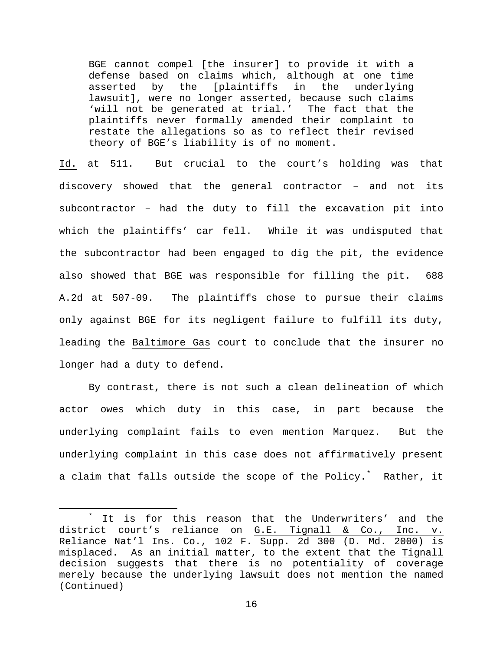BGE cannot compel [the insurer] to provide it with a defense based on claims which, although at one time<br>asserted by the [plaintiffs in the underlying asserted by the [plaintiffs in lawsuit], were no longer asserted, because such claims 'will not be generated at trial.' The fact that the plaintiffs never formally amended their complaint to restate the allegations so as to reflect their revised theory of BGE's liability is of no moment.

Id. at 511. But crucial to the court's holding was that discovery showed that the general contractor – and not its subcontractor – had the duty to fill the excavation pit into which the plaintiffs' car fell. While it was undisputed that the subcontractor had been engaged to dig the pit, the evidence also showed that BGE was responsible for filling the pit. 688 A.2d at 507-09. The plaintiffs chose to pursue their claims only against BGE for its negligent failure to fulfill its duty, leading the Baltimore Gas court to conclude that the insurer no longer had a duty to defend.

By contrast, there is not such a clean delineation of which actor owes which duty in this case, in part because the underlying complaint fails to even mention Marquez. But the underlying complaint in this case does not affirmatively present a claim that falls outside the scope of the Policy.[\\*](#page-15-0) Rather, it

<span id="page-15-0"></span>It is for this reason that the Underwriters' and the district court's reliance on G.E. Tignall & Co., Inc. v. Reliance Nat'l Ins. Co., 102 F. Supp. 2d 300 (D. Md. 2000) is misplaced. As an initial matter, to the extent that the Tignall decision suggests that there is no potentiality of coverage merely because the underlying lawsuit does not mention the named (Continued)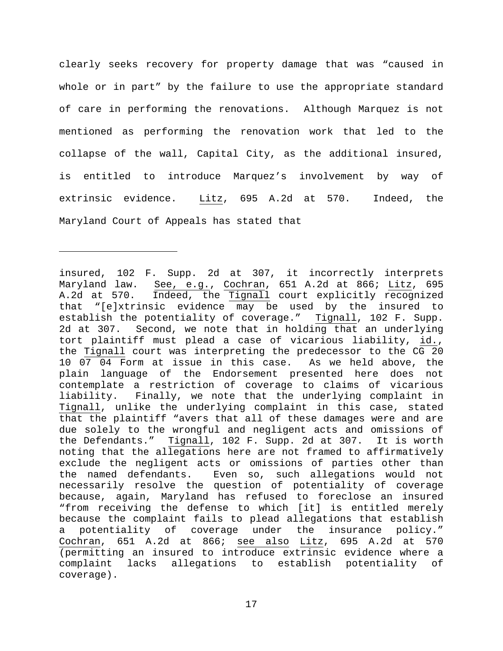clearly seeks recovery for property damage that was "caused in whole or in part" by the failure to use the appropriate standard of care in performing the renovations. Although Marquez is not mentioned as performing the renovation work that led to the collapse of the wall, Capital City, as the additional insured, is entitled to introduce Marquez's involvement by way of extrinsic evidence. Litz, 695 A.2d at 570. Indeed, the Maryland Court of Appeals has stated that

Ĩ.

insured, 102 F. Supp. 2d at 307, it incorrectly interprets Maryland law. See, e.g., Cochran, 651 A.2d at 866; Litz, 695<br>A.2d at 570. Indeed, the Tignall court explicitly recognized Indeed, the Tignall court explicitly recognized that "[e]xtrinsic evidence may be used by the insured to establish the potentiality of coverage." Tignall, 102 F. Supp. 2d at 307. Second, we note that in holding that an underlying tort plaintiff must plead a case of vicarious liability, id., the Tignall court was interpreting the predecessor to the CG 20 10 07 04 Form at issue in this case. As we held above, the plain language of the Endorsement presented here does not contemplate a restriction of coverage to claims of vicarious liability. Finally, we note that the underlying complaint in Tignall, unlike the underlying complaint in this case, stated that the plaintiff "avers that all of these damages were and are due solely to the wrongful and negligent acts and omissions of the Defendants." Tignall, 102 F. Supp. 2d at 307. It is worth noting that the allegations here are not framed to affirmatively exclude the negligent acts or omissions of parties other than the named defendants. Even so, such allegations would not necessarily resolve the question of potentiality of coverage because, again, Maryland has refused to foreclose an insured "from receiving the defense to which [it] is entitled merely because the complaint fails to plead allegations that establish a potentiality of coverage under the insurance policy." Cochran, 651 A.2d at 866; see also Litz, 695 A.2d at 570 (permitting an insured to introduce extrinsic evidence where a complaint lacks allegations to establish potentiality of coverage).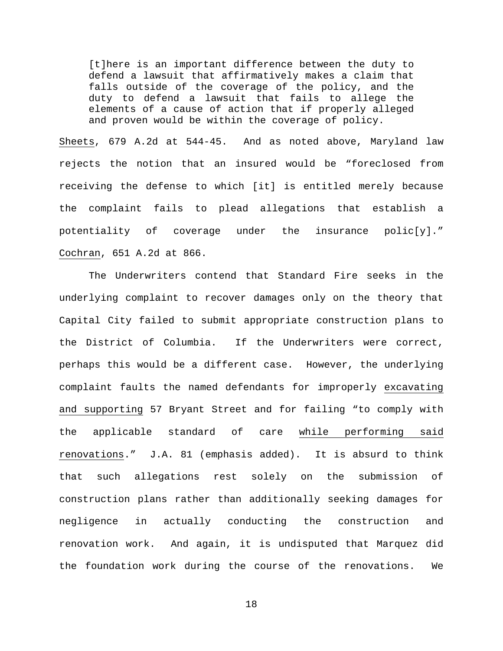[t]here is an important difference between the duty to defend a lawsuit that affirmatively makes a claim that falls outside of the coverage of the policy, and the duty to defend a lawsuit that fails to allege the elements of a cause of action that if properly alleged and proven would be within the coverage of policy.

Sheets, 679 A.2d at 544-45. And as noted above, Maryland law rejects the notion that an insured would be "foreclosed from receiving the defense to which [it] is entitled merely because the complaint fails to plead allegations that establish a potentiality of coverage under the insurance polic[y]." Cochran, 651 A.2d at 866.

The Underwriters contend that Standard Fire seeks in the underlying complaint to recover damages only on the theory that Capital City failed to submit appropriate construction plans to the District of Columbia. If the Underwriters were correct, perhaps this would be a different case. However, the underlying complaint faults the named defendants for improperly excavating and supporting 57 Bryant Street and for failing "to comply with the applicable standard of care while performing said renovations." J.A. 81 (emphasis added). It is absurd to think that such allegations rest solely on the submission of construction plans rather than additionally seeking damages for negligence in actually conducting the construction and renovation work. And again, it is undisputed that Marquez did the foundation work during the course of the renovations. We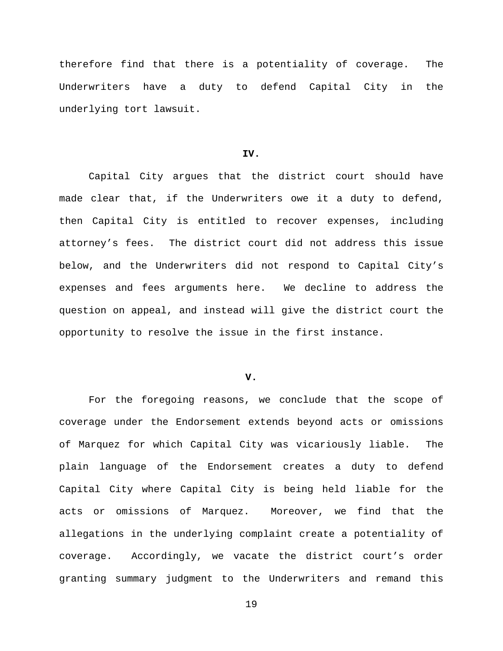therefore find that there is a potentiality of coverage. The Underwriters have a duty to defend Capital City in the underlying tort lawsuit.

# **IV.**

Capital City argues that the district court should have made clear that, if the Underwriters owe it a duty to defend, then Capital City is entitled to recover expenses, including attorney's fees. The district court did not address this issue below, and the Underwriters did not respond to Capital City's expenses and fees arguments here. We decline to address the question on appeal, and instead will give the district court the opportunity to resolve the issue in the first instance.

# **V.**

For the foregoing reasons, we conclude that the scope of coverage under the Endorsement extends beyond acts or omissions of Marquez for which Capital City was vicariously liable. The plain language of the Endorsement creates a duty to defend Capital City where Capital City is being held liable for the acts or omissions of Marquez. Moreover, we find that the allegations in the underlying complaint create a potentiality of coverage. Accordingly, we vacate the district court's order granting summary judgment to the Underwriters and remand this